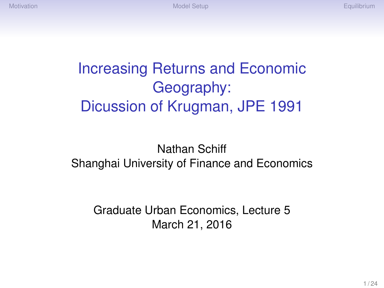# Increasing Returns and Economic Geography: Dicussion of Krugman, JPE 1991

#### Nathan Schiff Shanghai University of Finance and Economics

Graduate Urban Economics, Lecture 5 March 21, 2016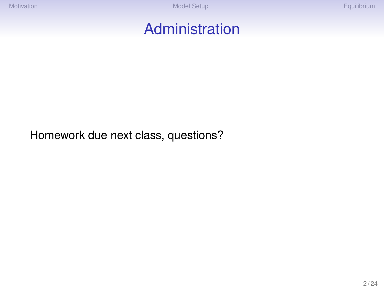#### Administration

Homework due next class, questions?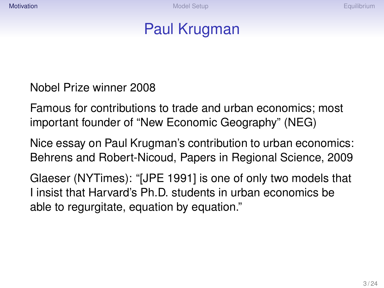## Paul Krugman

#### <span id="page-2-0"></span>Nobel Prize winner 2008

Famous for contributions to trade and urban economics; most important founder of "New Economic Geography" (NEG)

Nice essay on Paul Krugman's contribution to urban economics: Behrens and Robert-Nicoud, Papers in Regional Science, 2009

Glaeser (NYTimes): "[JPE 1991] is one of only two models that I insist that Harvard's Ph.D. students in urban economics be able to regurgitate, equation by equation."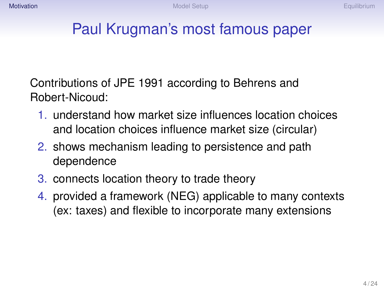# Paul Krugman's most famous paper

Contributions of JPE 1991 according to Behrens and Robert-Nicoud:

- 1. understand how market size influences location choices and location choices influence market size (circular)
- 2. shows mechanism leading to persistence and path dependence
- 3. connects location theory to trade theory
- 4. provided a framework (NEG) applicable to many contexts (ex: taxes) and flexible to incorporate many extensions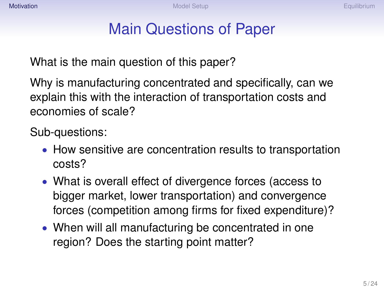## Main Questions of Paper

What is the main question of this paper?

Why is manufacturing concentrated and specifically, can we explain this with the interaction of transportation costs and economies of scale?

Sub-questions:

- How sensitive are concentration results to transportation costs?
- What is overall effect of divergence forces (access to bigger market, lower transportation) and convergence forces (competition among firms for fixed expenditure)?
- When will all manufacturing be concentrated in one region? Does the starting point matter?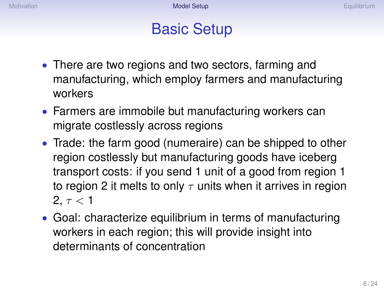#### Basic Setup

- <span id="page-5-0"></span>• There are two regions and two sectors, farming and manufacturing, which employ farmers and manufacturing workers
- Farmers are immobile but manufacturing workers can migrate costlessly across regions
- Trade: the farm good (numeraire) can be shipped to other region costlessly but manufacturing goods have iceberg transport costs: if you send 1 unit of a good from region 1 to region 2 it melts to only  $\tau$  units when it arrives in region 2,  $\tau$  < 1
- Goal: characterize equilibrium in terms of manufacturing workers in each region; this will provide insight into determinants of concentration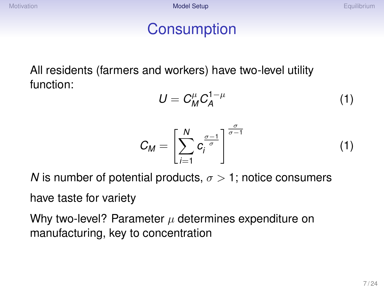### **Consumption**

All residents (farmers and workers) have two-level utility function:

$$
U = C_M^{\mu} C_A^{1-\mu} \tag{1}
$$

$$
C_M = \left[\sum_{i=1}^N c_i^{\frac{\sigma-1}{\sigma}}\right]^{\frac{\sigma}{\sigma-1}}
$$
 (1)

*N* is number of potential products,  $\sigma > 1$ ; notice consumers

have taste for variety

Why two-level? Parameter  $\mu$  determines expenditure on manufacturing, key to concentration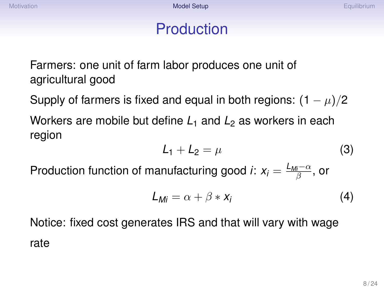## Production

Farmers: one unit of farm labor produces one unit of agricultural good

Supply of farmers is fixed and equal in both regions:  $(1 - \mu)/2$ Workers are mobile but define  $L_1$  and  $L_2$  as workers in each region

$$
L_1 + L_2 = \mu \tag{3}
$$

Production function of manufacturing good *i*:  $x_i = \frac{L_{M_i^-} - \alpha}{\beta}$ , or

$$
L_{Mi} = \alpha + \beta * x_i \tag{4}
$$

Notice: fixed cost generates IRS and that will vary with wage rate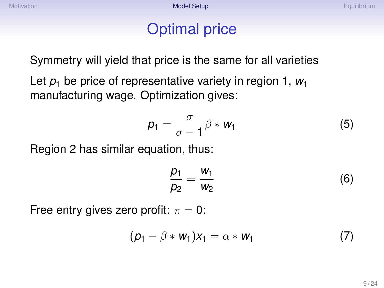## Optimal price

Symmetry will yield that price is the same for all varieties

Let  $p_1$  be price of representative variety in region 1,  $w_1$ manufacturing wage. Optimization gives:

$$
p_1 = \frac{\sigma}{\sigma - 1} \beta * w_1 \tag{5}
$$

Region 2 has similar equation, thus:

$$
\frac{p_1}{p_2} = \frac{w_1}{w_2} \tag{6}
$$

Free entry gives zero profit:  $\pi = 0$ :

$$
(\rho_1 - \beta * w_1)x_1 = \alpha * w_1 \tag{7}
$$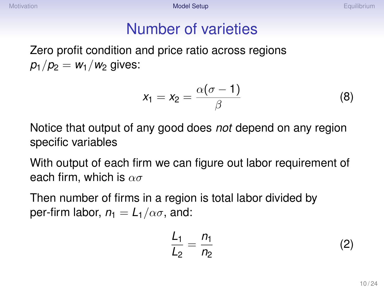## Number of varieties

Zero profit condition and price ratio across regions  $p_1/p_2 = w_1/w_2$  gives:

$$
x_1 = x_2 = \frac{\alpha(\sigma - 1)}{\beta} \tag{8}
$$

Notice that output of any good does *not* depend on any region specific variables

With output of each firm we can figure out labor requirement of each firm, which is  $\alpha\sigma$ 

Then number of firms in a region is total labor divided by per-firm labor,  $n_1 = L_1/\alpha\sigma$ , and:

$$
\frac{L_1}{L_2} = \frac{n_1}{n_2} \tag{2}
$$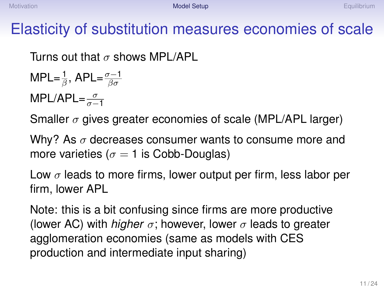# Elasticity of substitution measures economies of scale

Turns out that  $\sigma$  shows MPL/API

$$
MPL = \frac{1}{\beta}, APL = \frac{\sigma - 1}{\beta \sigma}
$$

MPL/APL= $\frac{\sigma}{\sigma-1}$ 

Smaller  $\sigma$  gives greater economies of scale (MPL/APL larger)

Why? As  $\sigma$  decreases consumer wants to consume more and more varieties ( $\sigma = 1$  is Cobb-Douglas)

Low  $\sigma$  leads to more firms, lower output per firm, less labor per firm, lower APL

Note: this is a bit confusing since firms are more productive (lower AC) with *higher*  $\sigma$ ; however, lower  $\sigma$  leads to greater agglomeration economies (same as models with CES production and intermediate input sharing)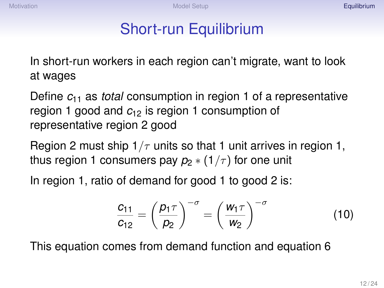## Short-run Equilibrium

<span id="page-11-0"></span>In short-run workers in each region can't migrate, want to look at wages

Define *c*<sup>11</sup> as *total* consumption in region 1 of a representative region 1 good and *c*<sup>12</sup> is region 1 consumption of representative region 2 good

Region 2 must ship  $1/\tau$  units so that 1 unit arrives in region 1, thus region 1 consumers pay  $p_2 * (1/\tau)$  for one unit

In region 1, ratio of demand for good 1 to good 2 is:

$$
\frac{c_{11}}{c_{12}} = \left(\frac{p_1 \tau}{p_2}\right)^{-\sigma} = \left(\frac{w_1 \tau}{w_2}\right)^{-\sigma} \tag{10}
$$

This equation comes from demand function and equation 6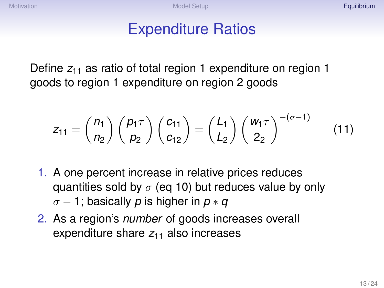### Expenditure Ratios

Define  $z_{11}$  as ratio of total region 1 expenditure on region 1 goods to region 1 expenditure on region 2 goods

$$
z_{11} = \left(\frac{n_1}{n_2}\right) \left(\frac{p_1 \tau}{p_2}\right) \left(\frac{c_{11}}{c_{12}}\right) = \left(\frac{L_1}{L_2}\right) \left(\frac{w_1 \tau}{2_2}\right)^{-(\sigma-1)}\tag{11}
$$

- 1. A one percent increase in relative prices reduces quantities sold by  $\sigma$  (eq 10) but reduces value by only σ − 1; basically *p* is higher in *p* ∗ *q*
- 2. As a region's *number* of goods increases overall expenditure share  $z_{11}$  also increases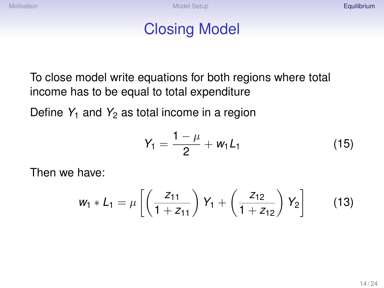### Closing Model

To close model write equations for both regions where total income has to be equal to total expenditure

Define  $Y_1$  and  $Y_2$  as total income in a region

$$
Y_1 = \frac{1-\mu}{2} + w_1 L_1 \tag{15}
$$

Then we have:

$$
w_1 * L_1 = \mu \left[ \left( \frac{z_{11}}{1 + z_{11}} \right) Y_1 + \left( \frac{z_{12}}{1 + z_{12}} \right) Y_2 \right] \tag{13}
$$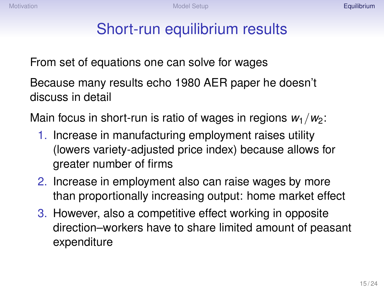## Short-run equilibrium results

From set of equations one can solve for wages

Because many results echo 1980 AER paper he doesn't discuss in detail

Main focus in short-run is ratio of wages in regions  $w_1/w_2$ :

- 1. Increase in manufacturing employment raises utility (lowers variety-adjusted price index) because allows for greater number of firms
- 2. Increase in employment also can raise wages by more than proportionally increasing output: home market effect
- 3. However, also a competitive effect working in opposite direction–workers have to share limited amount of peasant expenditure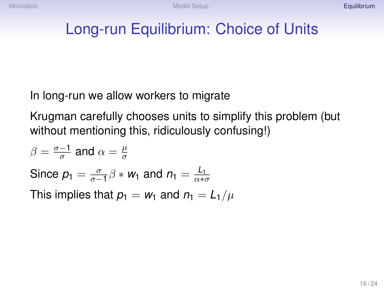## Long-run Equilibrium: Choice of Units

In long-run we allow workers to migrate

Krugman carefully chooses units to simplify this problem (but without mentioning this, ridiculously confusing!)

$$
\beta = \frac{\sigma - 1}{\sigma} \text{ and } \alpha = \frac{\mu}{\sigma}
$$
  
Since  $p_1 = \frac{\sigma}{\sigma - 1} \beta * w_1$  and  $n_1 = \frac{L_1}{\alpha * \sigma}$   
This implies that  $p_1 = w_1$  and  $n_1 = L_1/\mu$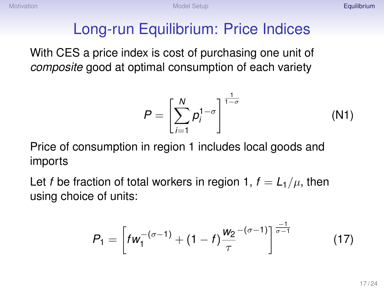# Long-run Equilibrium: Price Indices

With CES a price index is cost of purchasing one unit of *composite* good at optimal consumption of each variety

$$
P = \left[\sum_{i=1}^{N} p_i^{1-\sigma}\right]^{\frac{1}{1-\sigma}}
$$
 (N1)

Price of consumption in region 1 includes local goods and imports

Let *f* be fraction of total workers in region 1,  $f = L_1/\mu$ , then using choice of units:

$$
P_1 = \left[ f w_1^{-(\sigma - 1)} + (1 - f) \frac{w_2^{-(\sigma - 1)}}{\tau} \right]^{\frac{-1}{\sigma - 1}} \tag{17}
$$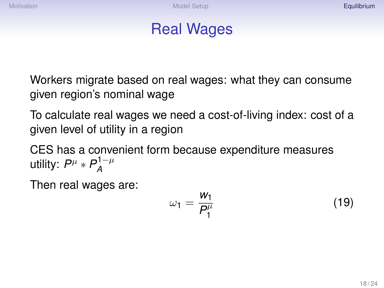#### Real Wages

Workers migrate based on real wages: what they can consume given region's nominal wage

To calculate real wages we need a cost-of-living index: cost of a given level of utility in a region

CES has a convenient form because expenditure measures utility:  $P^{\mu} * P^{1-\mu}_A$ *A*

Then real wages are:

$$
\omega_1 = \frac{w_1}{P_1^{\mu}} \tag{19}
$$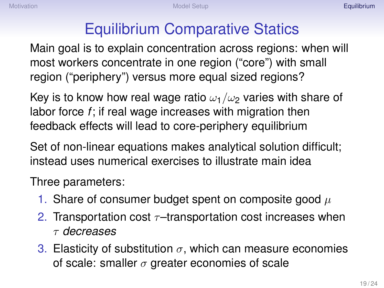# Equilibrium Comparative Statics

Main goal is to explain concentration across regions: when will most workers concentrate in one region ("core") with small region ("periphery") versus more equal sized regions?

Key is to know how real wage ratio  $\omega_1/\omega_2$  varies with share of labor force *f*; if real wage increases with migration then feedback effects will lead to core-periphery equilibrium

Set of non-linear equations makes analytical solution difficult; instead uses numerical exercises to illustrate main idea

Three parameters:

- 1. Share of consumer budget spent on composite good  $\mu$
- 2. Transportation cost  $\tau$ -transportation cost increases when τ *decreases*
- 3. Elasticity of substitution  $\sigma$ , which can measure economies of scale: smaller  $\sigma$  greater economies of scale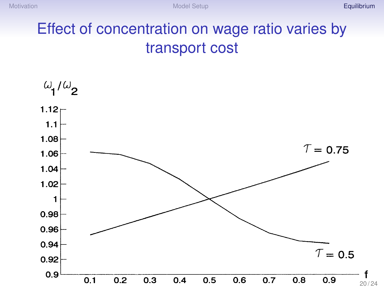# Effect of concentration on wage ratio varies by transport cost

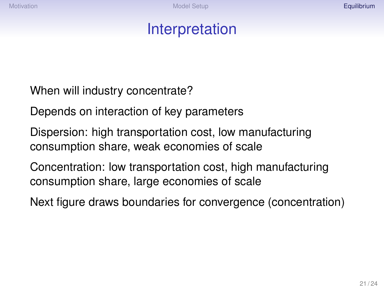### Interpretation

When will industry concentrate?

Depends on interaction of key parameters

Dispersion: high transportation cost, low manufacturing consumption share, weak economies of scale

Concentration: low transportation cost, high manufacturing consumption share, large economies of scale

Next figure draws boundaries for convergence (concentration)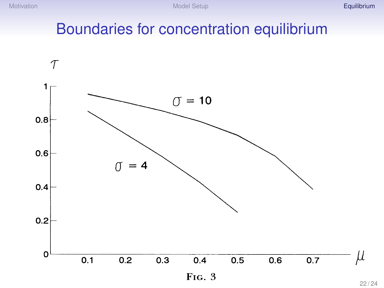### Boundaries for concentration equilibrium

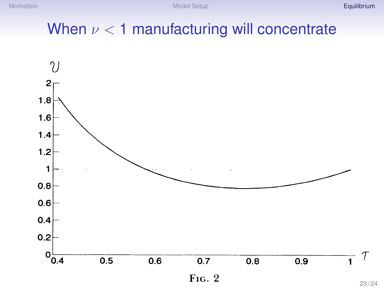## When  $\nu < 1$  manufacturing will concentrate